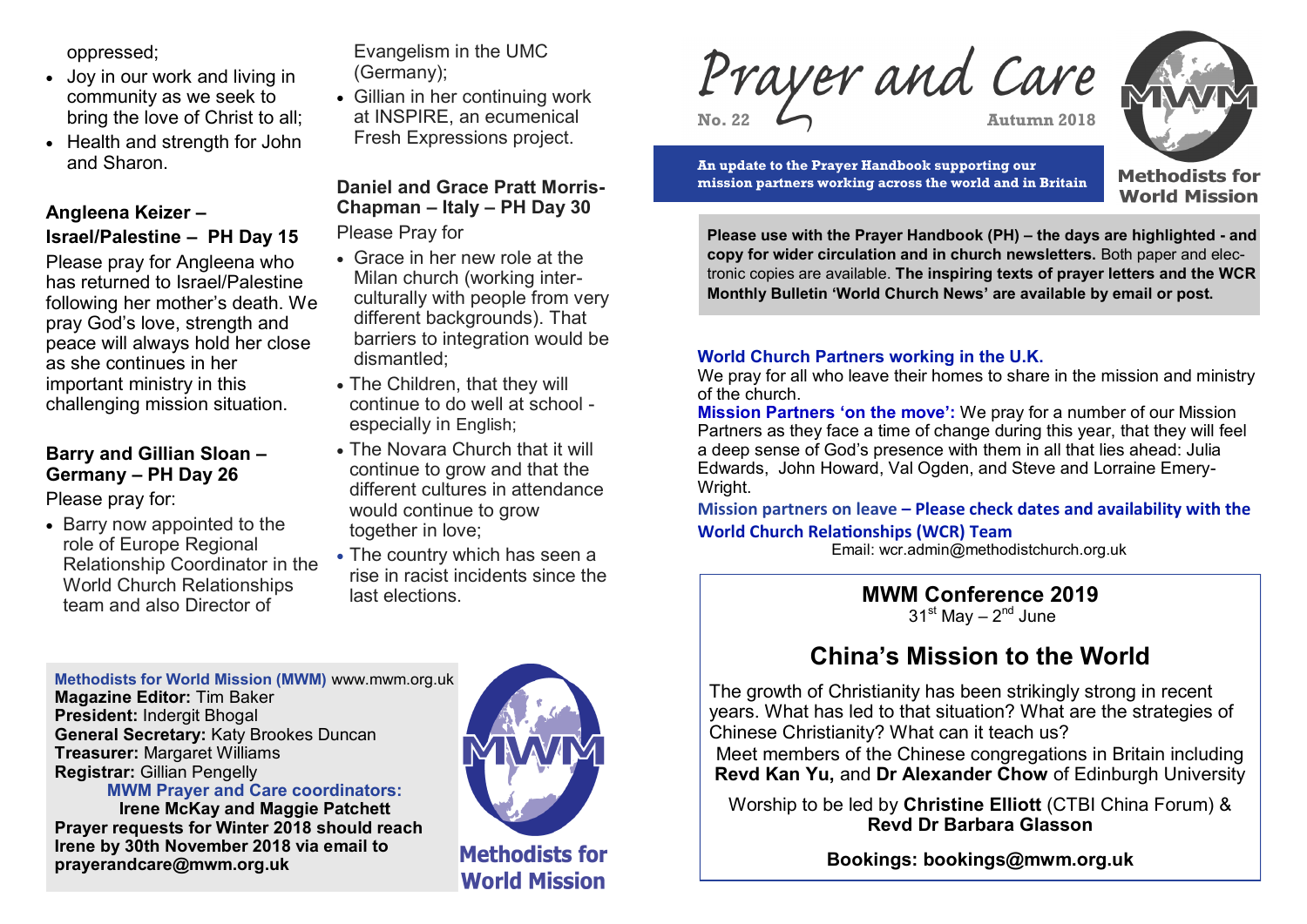oppressed;

- Joy in our work and living in community as we seek to bring the love of Christ to all;
- Health and strength for John and Sharon.

# **Angleena Keizer –**

## **Israel/Palestine – PH Day 15**

Please pray for Angleena who has returned to Israel/Palestine following her mother's death. We pray God's love, strength and peace will always hold her close as she continues in her important ministry in this challenging mission situation.

## **Barry and Gillian Sloan – Germany – PH Day 26**

Please pray for:

• Barry now appointed to the role of Europe Regional Relationship Coordinator in the World Church Relationships team and also Director of

Evangelism in the UMC (Germany);

• Gillian in her continuing work at INSPIRE, an ecumenical Fresh Expressions project.

# **Daniel and Grace Pratt Morris-Chapman – Italy – PH Day 30**

Please Pray for

- Grace in her new role at the Milan church (working interculturally with people from very different backgrounds). That barriers to integration would be dismantled;
- The Children, that they will continue to do well at school especially in English;
- The Novara Church that it will continue to grow and that the different cultures in attendance would continue to grow together in love;
- The country which has seen a rise in racist incidents since the last elections.

**Methodists for World Mission (MWM)** www.mwm.org.uk **Magazine Editor:** Tim Baker **President:** Indergit Bhogal **General Secretary:** Katy Brookes Duncan **Treasurer:** Margaret Williams **Registrar:** Gillian Pengelly

**MWM Prayer and Care coordinators:** 

**Irene McKay and Maggie Patchett Prayer requests for Winter 2018 should reach Irene by 30th November 2018 via email to prayerandcare@mwm.org.uk** 



**Methodists for World Mission** 

Prayer and Care **No. 22 Autumn 2018**



**An update to the Prayer Handbook supporting our mission partners working across the world and in Britain** **Methodists for World Mission** 

**Please use with the Prayer Handbook (PH) – the days are highlighted - and copy for wider circulation and in church newsletters.** Both paper and electronic copies are available. **The inspiring texts of prayer letters and the WCR Monthly Bulletin 'World Church News' are available by email or post.**

## **World Church Partners working in the U.K.**

We pray for all who leave their homes to share in the mission and ministry of the church.

**Mission Partners 'on the move':** We pray for a number of our Mission Partners as they face a time of change during this year, that they will feel a deep sense of God's presence with them in all that lies ahead: Julia Edwards, John Howard, Val Ogden, and Steve and Lorraine Emery-Wright.

**Mission partners on leave – Please check dates and availability with the World Church Relationships (WCR) Team**

Email: wcr.admin@methodistchurch.org.uk

**MWM Conference 2019** 31<sup>st</sup> May – 2<sup>nd</sup> June

# **China's Mission to the World**

The growth of Christianity has been strikingly strong in recent years. What has led to that situation? What are the strategies of Chinese Christianity? What can it teach us?

Meet members of the Chinese congregations in Britain including **Revd Kan Yu,** and **Dr Alexander Chow** of Edinburgh University

Worship to be led by **Christine Elliott** (CTBI China Forum) & **Revd Dr Barbara Glasson**

**Bookings: bookings@mwm.org.uk**